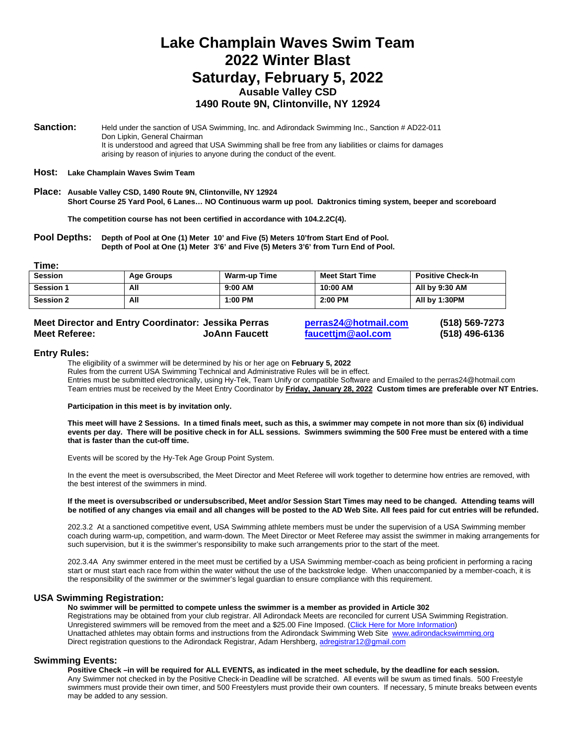# **Lake Champlain Waves Swim Team 2022 Winter Blast Saturday, February 5, 2022 Ausable Valley CSD 1490 Route 9N, Clintonville, NY 12924**

**Sanction:** Held under the sanction of USA Swimming, Inc. and Adirondack Swimming Inc., Sanction # AD22-011 Don Lipkin, General Chairman It is understood and agreed that USA Swimming shall be free from any liabilities or claims for damages arising by reason of injuries to anyone during the conduct of the event.

#### **Host: Lake Champlain Waves Swim Team**

**Place: Ausable Valley CSD, 1490 Route 9N, Clintonville, NY 12924 Short Course 25 Yard Pool, 6 Lanes… NO Continuous warm up pool. Daktronics timing system, beeper and scoreboard**

**The competition course has not been certified in accordance with 104.2.2C(4).**

**Pool Depths: Depth of Pool at One (1) Meter 10' and Five (5) Meters 10'from Start End of Pool. Depth of Pool at One (1) Meter 3'6' and Five (5) Meters 3'6' from Turn End of Pool.**

**Time:**

| <b>Session</b>   | Age Groups | <b>Warm-up Time</b> | <b>Meet Start Time</b> | <b>Positive Check-In</b> |
|------------------|------------|---------------------|------------------------|--------------------------|
| <b>Session 1</b> | All        | $9:00$ AM           | 10:00 AM               | All by 9:30 AM           |
| <b>Session 2</b> | All        | $1:00$ PM           | 2:00 PM                | All by 1:30PM            |

### **Meet Director and Entry Coordinator: Jessika Perras [perras24@hotmail.com](mailto:perras24@hotmail.com) (518) 569-7273 Meet Referee: JoAnn Faucett [faucettjm@aol.com](mailto:faucettjm@aol.com) (518) 496-6136**

#### **Entry Rules:**

The eligibility of a swimmer will be determined by his or her age on **February 5, 2022** Rules from the current USA Swimming Technical and Administrative Rules will be in effect. Entries must be submitted electronically, using Hy-Tek, Team Unify or compatible Software and Emailed to the perras24@hotmail.com Team entries must be received by the Meet Entry Coordinator by **Friday, January 28, 2022 Custom times are preferable over NT Entries.**

#### **Participation in this meet is by invitation only.**

**This meet will have 2 Sessions. In a timed finals meet, such as this, a swimmer may compete in not more than six (6) individual events per day. There will be positive check in for ALL sessions. Swimmers swimming the 500 Free must be entered with a time that is faster than the cut-off time.**

Events will be scored by the Hy-Tek Age Group Point System.

In the event the meet is oversubscribed, the Meet Director and Meet Referee will work together to determine how entries are removed, with the best interest of the swimmers in mind.

#### **If the meet is oversubscribed or undersubscribed, Meet and/or Session Start Times may need to be changed. Attending teams will be notified of any changes via email and all changes will be posted to the AD Web Site. All fees paid for cut entries will be refunded.**

202.3.2 At a sanctioned competitive event, USA Swimming athlete members must be under the supervision of a USA Swimming member coach during warm-up, competition, and warm-down. The Meet Director or Meet Referee may assist the swimmer in making arrangements for such supervision, but it is the swimmer's responsibility to make such arrangements prior to the start of the meet.

202.3.4A Any swimmer entered in the meet must be certified by a USA Swimming member-coach as being proficient in performing a racing start or must start each race from within the water without the use of the backstroke ledge. When unaccompanied by a member-coach, it is the responsibility of the swimmer or the swimmer's legal guardian to ensure compliance with this requirement.

#### **USA Swimming Registration:**

**No swimmer will be permitted to compete unless the swimmer is a member as provided in Article 302** Registrations may be obtained from your club registrar. All Adirondack Meets are reconciled for current USA Swimming Registration. Unregistered swimmers will be removed from the meet and a \$25.00 Fine Imposed. (Click Here for More Information) Unattached athletes may obtain forms and instructions from the Adirondack Swimming Web Site [www.adirondackswimming.org](http://www.adirondackswimming.org/) Direct registration questions to the Adirondack Registrar, Adam Hershberg[, adregistrar12@gmail.com](mailto:adregistrar12@gmail.com)

**Swimming Events: Positive Check –in will be required for ALL EVENTS, as indicated in the meet schedule, by the deadline for each session.**  Any Swimmer not checked in by the Positive Check-in Deadline will be scratched. All events will be swum as timed finals. 500 Freestyle swimmers must provide their own timer, and 500 Freestylers must provide their own counters. If necessary, 5 minute breaks between events may be added to any session.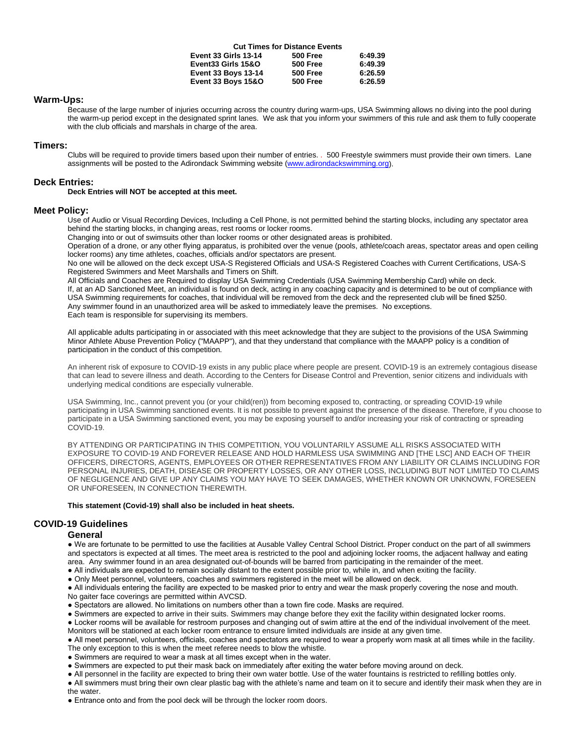|                               | <b>Cut Times for Distance Events</b> |         |
|-------------------------------|--------------------------------------|---------|
| <b>Event 33 Girls 13-14</b>   | <b>500 Free</b>                      | 6:49.39 |
| Event33 Girls 15&O            | <b>500 Free</b>                      | 6:49.39 |
| <b>Event 33 Boys 13-14</b>    | <b>500 Free</b>                      | 6:26.59 |
| <b>Event 33 Boys 15&amp;O</b> | <b>500 Free</b>                      | 6:26.59 |

#### **Warm-Ups:**

Because of the large number of injuries occurring across the country during warm-ups, USA Swimming allows no diving into the pool during the warm-up period except in the designated sprint lanes. We ask that you inform your swimmers of this rule and ask them to fully cooperate with the club officials and marshals in charge of the area.

#### **Timers:**

Clubs will be required to provide timers based upon their number of entries. . 500 Freestyle swimmers must provide their own timers. Lane assignments will be posted to the Adirondack Swimming website [\(www.adirondackswimming.org\)](http://www.adirondackswimming.org/).

#### **Deck Entries:**

#### **Deck Entries will NOT be accepted at this meet.**

#### **Meet Policy:**

Use of Audio or Visual Recording Devices, Including a Cell Phone, is not permitted behind the starting blocks, including any spectator area behind the starting blocks, in changing areas, rest rooms or locker rooms.

Changing into or out of swimsuits other than locker rooms or other designated areas is prohibited.

Operation of a drone, or any other flying apparatus, is prohibited over the venue (pools, athlete/coach areas, spectator areas and open ceiling locker rooms) any time athletes, coaches, officials and/or spectators are present.

No one will be allowed on the deck except USA-S Registered Officials and USA-S Registered Coaches with Current Certifications, USA-S Registered Swimmers and Meet Marshalls and Timers on Shift.

All Officials and Coaches are Required to display USA Swimming Credentials (USA Swimming Membership Card) while on deck. If, at an AD Sanctioned Meet, an individual is found on deck, acting in any coaching capacity and is determined to be out of compliance with USA Swimming requirements for coaches, that individual will be removed from the deck and the represented club will be fined \$250. Any swimmer found in an unauthorized area will be asked to immediately leave the premises. No exceptions. Each team is responsible for supervising its members.

All applicable adults participating in or associated with this meet acknowledge that they are subject to the provisions of the USA Swimming Minor Athlete Abuse Prevention Policy ("MAAPP"), and that they understand that compliance with the MAAPP policy is a condition of participation in the conduct of this competition.

An inherent risk of exposure to COVID-19 exists in any public place where people are present. COVID-19 is an extremely contagious disease that can lead to severe illness and death. According to the Centers for Disease Control and Prevention, senior citizens and individuals with underlying medical conditions are especially vulnerable.

USA Swimming, Inc., cannot prevent you (or your child(ren)) from becoming exposed to, contracting, or spreading COVID-19 while participating in USA Swimming sanctioned events. It is not possible to prevent against the presence of the disease. Therefore, if you choose to participate in a USA Swimming sanctioned event, you may be exposing yourself to and/or increasing your risk of contracting or spreading COVID-19.

BY ATTENDING OR PARTICIPATING IN THIS COMPETITION, YOU VOLUNTARILY ASSUME ALL RISKS ASSOCIATED WITH EXPOSURE TO COVID-19 AND FOREVER RELEASE AND HOLD HARMLESS USA SWIMMING AND [THE LSC] AND EACH OF THEIR OFFICERS, DIRECTORS, AGENTS, EMPLOYEES OR OTHER REPRESENTATIVES FROM ANY LIABILITY OR CLAIMS INCLUDING FOR PERSONAL INJURIES, DEATH, DISEASE OR PROPERTY LOSSES, OR ANY OTHER LOSS, INCLUDING BUT NOT LIMITED TO CLAIMS OF NEGLIGENCE AND GIVE UP ANY CLAIMS YOU MAY HAVE TO SEEK DAMAGES, WHETHER KNOWN OR UNKNOWN, FORESEEN OR UNFORESEEN, IN CONNECTION THEREWITH.

#### **This statement (Covid-19) shall also be included in heat sheets.**

#### **COVID-19 Guidelines**

#### **General**

● We are fortunate to be permitted to use the facilities at Ausable Valley Central School District. Proper conduct on the part of all swimmers and spectators is expected at all times. The meet area is restricted to the pool and adjoining locker rooms, the adjacent hallway and eating area. Any swimmer found in an area designated out-of-bounds will be barred from participating in the remainder of the meet.

● All individuals are expected to remain socially distant to the extent possible prior to, while in, and when exiting the facility.

● Only Meet personnel, volunteers, coaches and swimmers registered in the meet will be allowed on deck.

● All individuals entering the facility are expected to be masked prior to entry and wear the mask properly covering the nose and mouth.

No gaiter face coverings are permitted within AVCSD.

● Spectators are allowed. No limitations on numbers other than a town fire code. Masks are required.

● Swimmers are expected to arrive in their suits. Swimmers may change before they exit the facility within designated locker rooms.

● Locker rooms will be available for restroom purposes and changing out of swim attire at the end of the individual involvement of the meet. Monitors will be stationed at each locker room entrance to ensure limited individuals are inside at any given time.

● All meet personnel, volunteers, officials, coaches and spectators are required to wear a properly worn mask at all times while in the facility. The only exception to this is when the meet referee needs to blow the whistle.

● Swimmers are required to wear a mask at all times except when in the water.

● Swimmers are expected to put their mask back on immediately after exiting the water before moving around on deck.

● All personnel in the facility are expected to bring their own water bottle. Use of the water fountains is restricted to refilling bottles only.

● All swimmers must bring their own clear plastic bag with the athlete's name and team on it to secure and identify their mask when they are in the water.

• Entrance onto and from the pool deck will be through the locker room doors.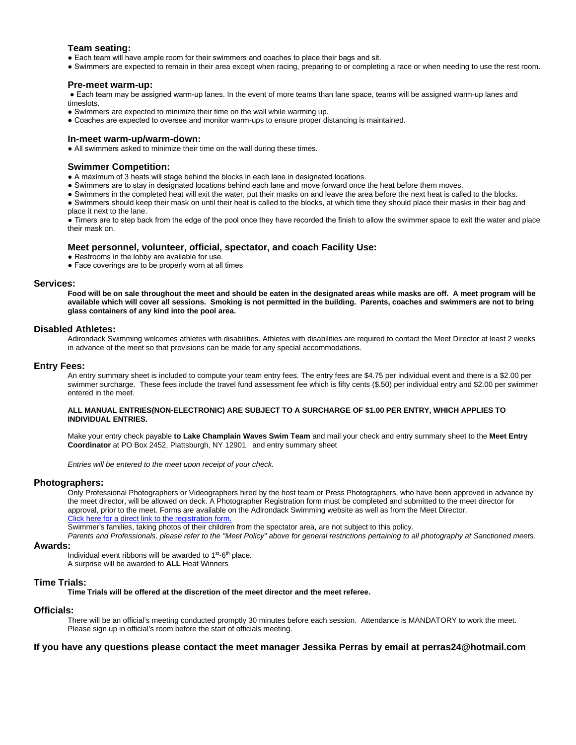#### **Team seating:**

- Each team will have ample room for their swimmers and coaches to place their bags and sit.
- Swimmers are expected to remain in their area except when racing, preparing to or completing a race or when needing to use the rest room.

#### **Pre-meet warm-up:**

● Each team may be assigned warm-up lanes. In the event of more teams than lane space, teams will be assigned warm-up lanes and timeslots.

- Swimmers are expected to minimize their time on the wall while warming up.
- Coaches are expected to oversee and monitor warm-ups to ensure proper distancing is maintained.

#### **In-meet warm-up/warm-down:**

● All swimmers asked to minimize their time on the wall during these times.

#### **Swimmer Competition:**

- A maximum of 3 heats will stage behind the blocks in each lane in designated locations.
- Swimmers are to stay in designated locations behind each lane and move forward once the heat before them moves.
- Swimmers in the completed heat will exit the water, put their masks on and leave the area before the next heat is called to the blocks.
- Swimmers should keep their mask on until their heat is called to the blocks, at which time they should place their masks in their bag and place it next to the lane.

● Timers are to step back from the edge of the pool once they have recorded the finish to allow the swimmer space to exit the water and place their mask on.

#### **Meet personnel, volunteer, official, spectator, and coach Facility Use:**

- Restrooms in the lobby are available for use.
- Face coverings are to be properly worn at all times

#### **Services:**

**Food will be on sale throughout the meet and should be eaten in the designated areas while masks are off. A meet program will be available which will cover all sessions. Smoking is not permitted in the building. Parents, coaches and swimmers are not to bring glass containers of any kind into the pool area.** 

#### **Disabled Athletes:**

Adirondack Swimming welcomes athletes with disabilities. Athletes with disabilities are required to contact the Meet Director at least 2 weeks in advance of the meet so that provisions can be made for any special accommodations.

#### **Entry Fees:**

An entry summary sheet is included to compute your team entry fees. The entry fees are \$4.75 per individual event and there is a \$2.00 per swimmer surcharge. These fees include the travel fund assessment fee which is fifty cents (\$.50) per individual entry and \$2.00 per swimmer entered in the meet.

#### **ALL MANUAL ENTRIES(NON-ELECTRONIC) ARE SUBJECT TO A SURCHARGE OF \$1.00 PER ENTRY, WHICH APPLIES TO INDIVIDUAL ENTRIES.**

Make your entry check payable **to Lake Champlain Waves Swim Team** and mail your check and entry summary sheet to the **Meet Entry Coordinator** at PO Box 2452, Plattsburgh, NY 12901 and entry summary sheet

*Entries will be entered to the meet upon receipt of your check.*

#### **Photographers:**

Only Professional Photographers or Videographers hired by the host team or Press Photographers, who have been approved in advance by the meet director, will be allowed on deck. A Photographer Registration form must be completed and submitted to the meet director for approval, prior to the meet. Forms are available on the Adirondack Swimming website as well as from the Meet Director. Click here for a direct link to the registration form.

Swimmer's families, taking photos of their children from the spectator area, are not subject to this policy.

*Parents and Professionals, please refer to the "Meet Policy" above for general restrictions pertaining to all photography at Sanctioned meets*.

#### **Awards:**

Individual event ribbons will be awarded to  $1<sup>st</sup>-6<sup>th</sup>$  place. A surprise will be awarded to **ALL** Heat Winners

#### **Time Trials:**

**Time Trials will be offered at the discretion of the meet director and the meet referee.**

#### **Officials:**

There will be an official's meeting conducted promptly 30 minutes before each session. Attendance is MANDATORY to work the meet. Please sign up in official's room before the start of officials meeting.

### **If you have any questions please contact the meet manager Jessika Perras by email at perras24@hotmail.com**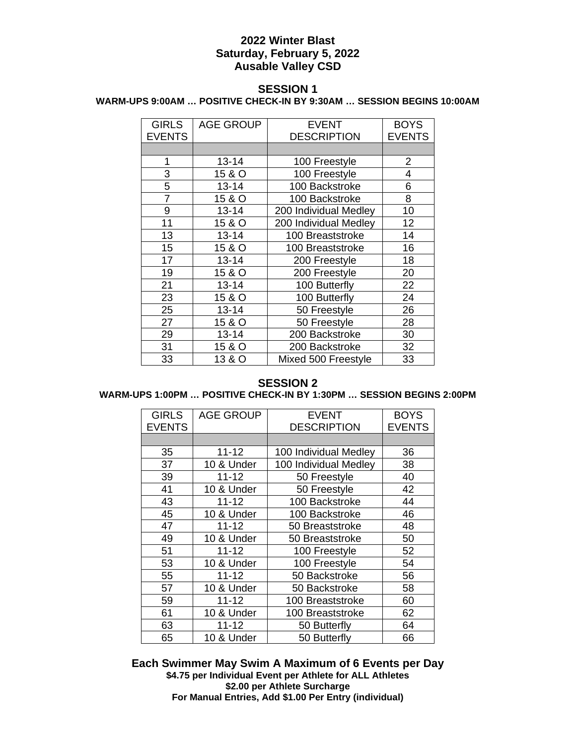# **2022 Winter Blast Saturday, February 5, 2022 Ausable Valley CSD**

## **SESSION 1**

### **WARM-UPS 9:00AM … POSITIVE CHECK-IN BY 9:30AM … SESSION BEGINS 10:00AM**

| <b>GIRLS</b>   | <b>AGE GROUP</b> | <b>EVENT</b>          | <b>BOYS</b>   |
|----------------|------------------|-----------------------|---------------|
| <b>EVENTS</b>  |                  | <b>DESCRIPTION</b>    | <b>EVENTS</b> |
|                |                  |                       |               |
| 1              | $13 - 14$        | 100 Freestyle         | 2             |
| 3              | 15 & O           | 100 Freestyle         | 4             |
| 5              | $13 - 14$        | 100 Backstroke        | 6             |
| $\overline{7}$ | 15 & O           | 100 Backstroke        | 8             |
| 9              | $13 - 14$        | 200 Individual Medley | 10            |
| 11             | 15 & O           | 200 Individual Medley | 12            |
| 13             | $13 - 14$        | 100 Breaststroke      | 14            |
| 15             | 15 & O           | 100 Breaststroke      | 16            |
| 17             | $13 - 14$        | 200 Freestyle         | 18            |
| 19             | 15 & O           | 200 Freestyle         | 20            |
| 21             | $13 - 14$        | 100 Butterfly         | 22            |
| 23             | 15 & O           | 100 Butterfly         | 24            |
| 25             | $13 - 14$        | 50 Freestyle          | 26            |
| 27             | 15 & O           | 50 Freestyle          | 28            |
| 29             | $13 - 14$        | 200 Backstroke        | 30            |
| 31             | 15 & O           | 200 Backstroke        | 32            |
| 33             | 13 & O           | Mixed 500 Freestyle   | 33            |

# **SESSION 2**

# **WARM-UPS 1:00PM … POSITIVE CHECK-IN BY 1:30PM … SESSION BEGINS 2:00PM**

| <b>GIRLS</b>  | <b>AGE GROUP</b> | <b>EVENT</b>          | <b>BOYS</b>   |
|---------------|------------------|-----------------------|---------------|
| <b>EVENTS</b> |                  | <b>DESCRIPTION</b>    | <b>EVENTS</b> |
|               |                  |                       |               |
| 35            | $11 - 12$        | 100 Individual Medley | 36            |
| 37            | 10 & Under       | 100 Individual Medley | 38            |
| 39            | $11 - 12$        | 50 Freestyle          | 40            |
| 41            | 10 & Under       | 50 Freestyle          | 42            |
| 43            | $11 - 12$        | 100 Backstroke        | 44            |
| 45            | 10 & Under       | 100 Backstroke        | 46            |
| 47            | $11 - 12$        | 50 Breaststroke       | 48            |
| 49            | 10 & Under       | 50 Breaststroke       | 50            |
| 51            | $11 - 12$        | 100 Freestyle         | 52            |
| 53            | 10 & Under       | 100 Freestyle         | 54            |
| 55            | $11 - 12$        | 50 Backstroke         | 56            |
| 57            | 10 & Under       | 50 Backstroke         | 58            |
| 59            | $11 - 12$        | 100 Breaststroke      | 60            |
| 61            | 10 & Under       | 100 Breaststroke      | 62            |
| 63            | $11 - 12$        | 50 Butterfly          | 64            |
| 65            | 10 & Under       | 50 Butterfly          | 66            |

**Each Swimmer May Swim A Maximum of 6 Events per Day \$4.75 per Individual Event per Athlete for ALL Athletes \$2.00 per Athlete Surcharge For Manual Entries, Add \$1.00 Per Entry (individual)**